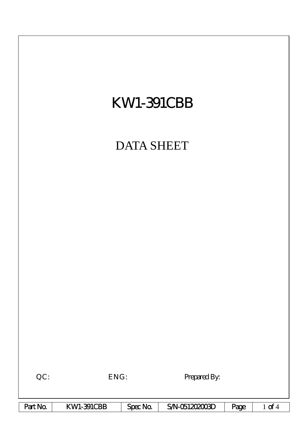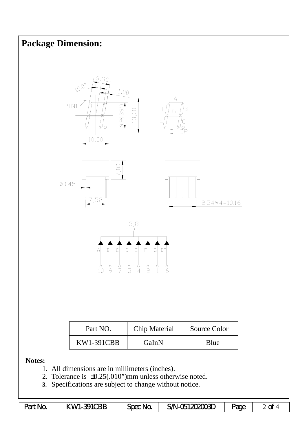

| Part No. | KWI-391CBB | Spec No. | $SM-051202003D$ | Page |  |
|----------|------------|----------|-----------------|------|--|
|----------|------------|----------|-----------------|------|--|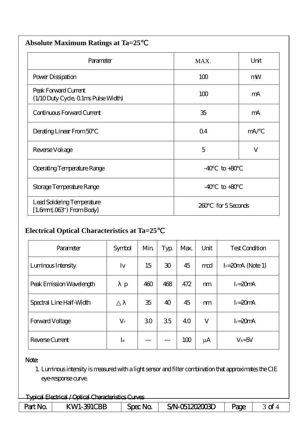| <b>Absolute Maximum Ratings at Ta=25</b>                     |                      |      |  |  |  |
|--------------------------------------------------------------|----------------------|------|--|--|--|
| Parameter                                                    | MAX.                 | Unit |  |  |  |
| Power Dissipation                                            | 100                  | mW   |  |  |  |
| Peak Forward Current<br>(1/10 Duty Cycle, 0 1ms Pulse Width) | 100                  | mA   |  |  |  |
| Continuous Forward Current                                   | 35                   | mA   |  |  |  |
| Derating Linear From 50                                      | Q <sub>4</sub>       | mA/  |  |  |  |
| Reverse Voltage                                              | 5                    | V    |  |  |  |
| Operating Temperature Range                                  | $-40$<br>$to +80$    |      |  |  |  |
| Storage Temperature Range                                    | $-40$<br>$to +80$    |      |  |  |  |
| Lead Soldering Temperature<br>$[1.6mm.03$ ") From Body]      | for 5 Seconds<br>260 |      |  |  |  |

## **Electrical Optical Characteristics at Ta=25**℃

| Parameter                | Symbol          | Min | Typ             | Max. | Unit    | <b>Test Condition</b> |
|--------------------------|-----------------|-----|-----------------|------|---------|-----------------------|
| Luminous Intensity       | Iv              | 15  | 30 <sup>°</sup> | 45   | md      | $I = 20$ mA (Note 1)  |
| Peak Emission Wavelength | p               | 460 | 468             | 472  | m       | $I_F = 20mA$          |
| Spectral Line Half-Width |                 | 35  | 40              | 45   | m       | $I_F = 20mA$          |
| Forward Voltage          | $\rm V_{\rm F}$ | 30  | 35              | 40   | V       | $I_F = 20mA$          |
| Reverse Current          | $I_{\rm R}$     |     |                 | 100  | $\mu$ A | $V_R = 5V$            |

## Note:

1. Luminous intensity is measured with a light sensor and filter combination that approximates the CIE eye-response curve.

| - / Ortical Characteristics Curves<br>Tynical <b>1</b><br>Flectrical |                 |         |                                       |     |    |  |  |
|----------------------------------------------------------------------|-----------------|---------|---------------------------------------|-----|----|--|--|
| <del>i hada inddida / opada omaddamindo oli yu</del>                 |                 |         |                                       |     |    |  |  |
| <b>INC</b>                                                           | <b>BB</b><br>₩к | Spec No | നന്ദ്ര .<br>-`W-C<br>ИI<br><b>THE</b> | 20P | -c |  |  |